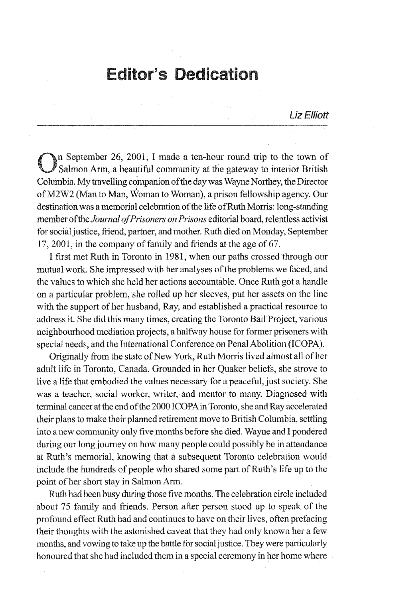## Editor's Dedication

Liz Elliott

On September 26, 2001, I made a ten-hour round trip to the town of Salmon Arm, a beautiful community at the gateway to interior British Columbia. My travelling companion of the day was Wayne Northey, the Director ofM2W2 (Man to Man, Woman to Woman), a prison fellowship agency. Our destination was a memorial celebration of the life of Ruth Morris: long-standing member *offueJoumal of Prisoners on Prisons* editorial board, relentless activist for social justice, friend, partner, and mother. Ruth died on Monday, September  $17,2001$ , in the company of family and friends at the age of 67.

I first met Ruth in Toronto in 1981, when our paths crossed through our mutual work. She impressed with her analyses of the problems we faced, and the values to which she held her actions accountable. Once Ruth got a handle on a particular problem, she rolled up her sleeves, put her assets on the line with the support of her husband, Ray, and established a practical resource to address it. She did this many times, creating the Toronto Bail Project, various neighbourhood mediation projects, a halfway house for former prisoners with special needs, and the International Conference on Penal Abolition (ICOPA).

Originally from the state of New York, Ruth Morris lived almost all of her adult life in Toronto, Canada. Grounded in her Quaker beliefs, she strove to live a life that embodied the values necessary for a peaceful, just society. She was a teacher, social worker, writer, and mentor to many. Diagnosed with tenninal cancer at the end of the 2000 ICOPA in Toronto, she and Ray accelerated their plans to make their planned retirement move to British Columbia, settling into a new community only five months before she died. Wayne and I pondered during our long journey on how many people could possibly be in attendance at Ruth's memorial, knowing that a subsequent Toronto celebration would include the hundreds of people who shared some part of Ruth's life up to the point of her short stay in Salmon Arm.

Ruth had been busy during those five months. The celebration circle included about 75 family and friends. Person after person stood up to speak of the profound effect Ruth had and continues to have on their lives, often prefacing their thoughts with the astonished caveat that they had only known her a few months, and vowing to take up the battle for social justice. They were particularly honoured that she had included them in a special ceremony in her home where